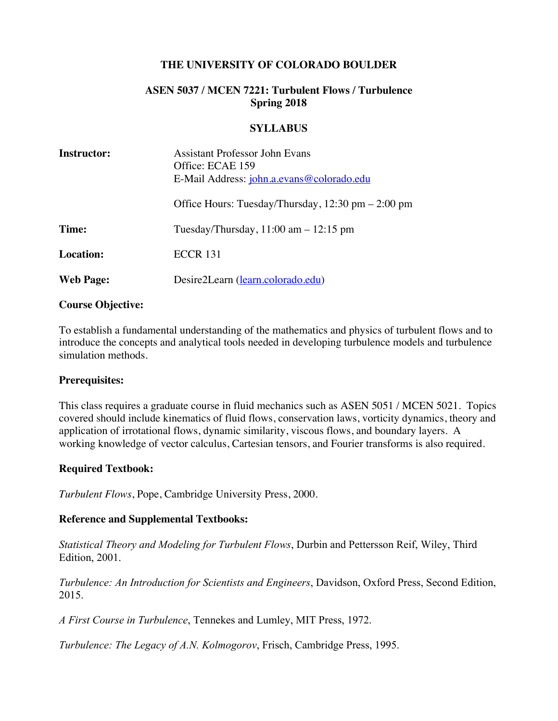## **THE UNIVERSITY OF COLORADO BOULDER**

# **ASEN 5037 / MCEN 7221: Turbulent Flows / Turbulence Spring 2018**

#### **SYLLABUS**

| <b>Instructor:</b> | <b>Assistant Professor John Evans</b><br>Office: ECAE 159<br>E-Mail Address: john.a.evans@colorado.edu |
|--------------------|--------------------------------------------------------------------------------------------------------|
|                    | Office Hours: Tuesday/Thursday, $12:30$ pm $- 2:00$ pm                                                 |
| Time:              | Tuesday/Thursday, $11:00$ am $-12:15$ pm                                                               |
| <b>Location:</b>   | <b>ECCR 131</b>                                                                                        |
| <b>Web Page:</b>   | Desire2Learn (learn.colorado.edu)                                                                      |

#### **Course Objective:**

To establish a fundamental understanding of the mathematics and physics of turbulent flows and to introduce the concepts and analytical tools needed in developing turbulence models and turbulence simulation methods.

#### **Prerequisites:**

This class requires a graduate course in fluid mechanics such as ASEN 5051 / MCEN 5021. Topics covered should include kinematics of fluid flows, conservation laws, vorticity dynamics, theory and application of irrotational flows, dynamic similarity, viscous flows, and boundary layers. A working knowledge of vector calculus, Cartesian tensors, and Fourier transforms is also required.

### **Required Textbook:**

*Turbulent Flows*, Pope, Cambridge University Press, 2000.

#### **Reference and Supplemental Textbooks:**

*Statistical Theory and Modeling for Turbulent Flows*, Durbin and Pettersson Reif, Wiley, Third Edition, 2001.

*Turbulence: An Introduction for Scientists and Engineers*, Davidson, Oxford Press, Second Edition, 2015.

*A First Course in Turbulence*, Tennekes and Lumley, MIT Press, 1972.

*Turbulence: The Legacy of A.N. Kolmogorov*, Frisch, Cambridge Press, 1995.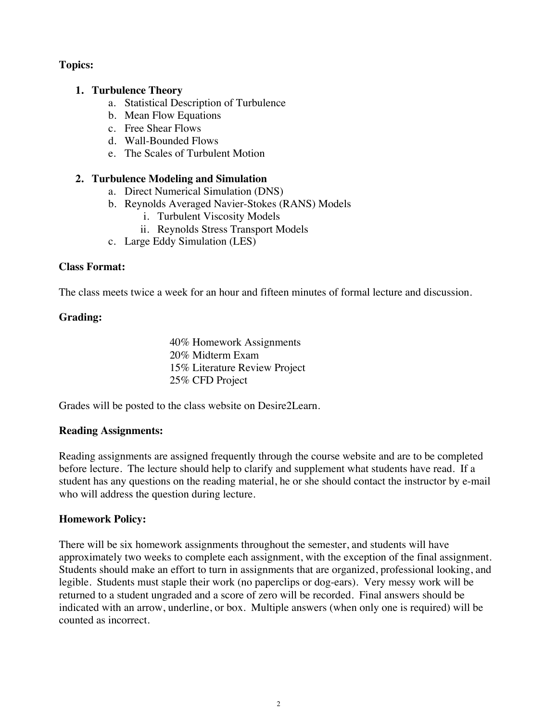# **Topics:**

## **1. Turbulence Theory**

- a. Statistical Description of Turbulence
- b. Mean Flow Equations
- c. Free Shear Flows
- d. Wall-Bounded Flows
- e. The Scales of Turbulent Motion

## **2. Turbulence Modeling and Simulation**

- a. Direct Numerical Simulation (DNS)
- b. Reynolds Averaged Navier-Stokes (RANS) Models
	- i. Turbulent Viscosity Models
	- ii. Reynolds Stress Transport Models
- c. Large Eddy Simulation (LES)

### **Class Format:**

The class meets twice a week for an hour and fifteen minutes of formal lecture and discussion.

## **Grading:**

40% Homework Assignments 20% Midterm Exam 15% Literature Review Project 25% CFD Project

Grades will be posted to the class website on Desire2Learn.

### **Reading Assignments:**

Reading assignments are assigned frequently through the course website and are to be completed before lecture. The lecture should help to clarify and supplement what students have read. If a student has any questions on the reading material, he or she should contact the instructor by e-mail who will address the question during lecture.

### **Homework Policy:**

There will be six homework assignments throughout the semester, and students will have approximately two weeks to complete each assignment, with the exception of the final assignment. Students should make an effort to turn in assignments that are organized, professional looking, and legible. Students must staple their work (no paperclips or dog-ears). Very messy work will be returned to a student ungraded and a score of zero will be recorded. Final answers should be indicated with an arrow, underline, or box. Multiple answers (when only one is required) will be counted as incorrect.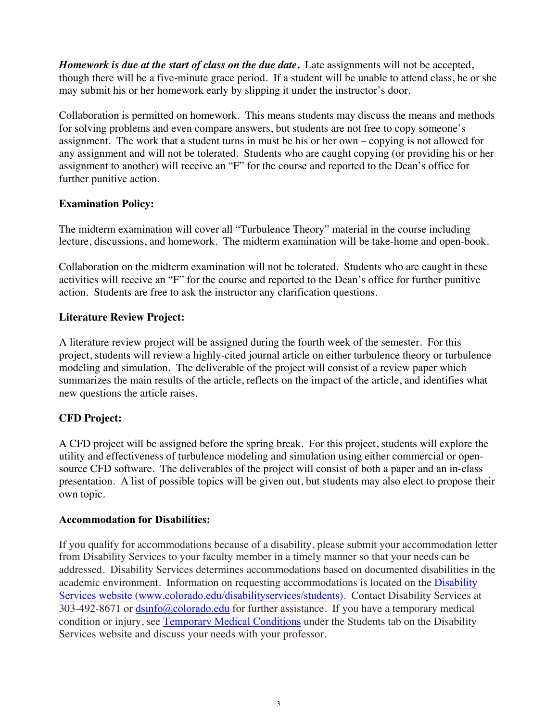*Homework is due at the start of class on the due date***.** Late assignments will not be accepted, though there will be a five-minute grace period. If a student will be unable to attend class, he or she may submit his or her homework early by slipping it under the instructor's door.

Collaboration is permitted on homework. This means students may discuss the means and methods for solving problems and even compare answers, but students are not free to copy someone's assignment. The work that a student turns in must be his or her own – copying is not allowed for any assignment and will not be tolerated. Students who are caught copying (or providing his or her assignment to another) will receive an "F" for the course and reported to the Dean's office for further punitive action.

# **Examination Policy:**

The midterm examination will cover all "Turbulence Theory" material in the course including lecture, discussions, and homework. The midterm examination will be take-home and open-book.

Collaboration on the midterm examination will not be tolerated. Students who are caught in these activities will receive an "F" for the course and reported to the Dean's office for further punitive action. Students are free to ask the instructor any clarification questions.

# **Literature Review Project:**

A literature review project will be assigned during the fourth week of the semester. For this project, students will review a highly-cited journal article on either turbulence theory or turbulence modeling and simulation. The deliverable of the project will consist of a review paper which summarizes the main results of the article, reflects on the impact of the article, and identifies what new questions the article raises.

# **CFD Project:**

A CFD project will be assigned before the spring break. For this project, students will explore the utility and effectiveness of turbulence modeling and simulation using either commercial or opensource CFD software. The deliverables of the project will consist of both a paper and an in-class presentation. A list of possible topics will be given out, but students may also elect to propose their own topic.

### **Accommodation for Disabilities:**

If you qualify for accommodations because of a disability, please submit your accommodation letter from Disability Services to your faculty member in a timely manner so that your needs can be addressed. Disability Services determines accommodations based on documented disabilities in the academic environment. Information on requesting accommodations is located on the Disability Services website (www.colorado.edu/disabilityservices/students). Contact Disability Services at 303-492-8671 or dsinfo@colorado.edu for further assistance. If you have a temporary medical condition or injury, see Temporary Medical Conditions under the Students tab on the Disability Services website and discuss your needs with your professor.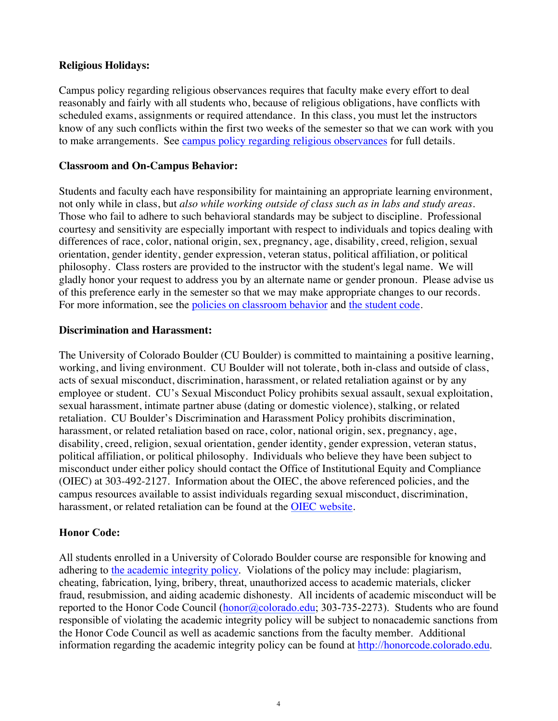## **Religious Holidays:**

Campus policy regarding religious observances requires that faculty make every effort to deal reasonably and fairly with all students who, because of religious obligations, have conflicts with scheduled exams, assignments or required attendance. In this class, you must let the instructors know of any such conflicts within the first two weeks of the semester so that we can work with you to make arrangements. See campus policy regarding religious observances for full details.

### **Classroom and On-Campus Behavior:**

Students and faculty each have responsibility for maintaining an appropriate learning environment, not only while in class, but *also while working outside of class such as in labs and study areas.* Those who fail to adhere to such behavioral standards may be subject to discipline. Professional courtesy and sensitivity are especially important with respect to individuals and topics dealing with differences of race, color, national origin, sex, pregnancy, age, disability, creed, religion, sexual orientation, gender identity, gender expression, veteran status, political affiliation, or political philosophy. Class rosters are provided to the instructor with the student's legal name. We will gladly honor your request to address you by an alternate name or gender pronoun. Please advise us of this preference early in the semester so that we may make appropriate changes to our records. For more information, see the policies on classroom behavior and the student code.

## **Discrimination and Harassment:**

The University of Colorado Boulder (CU Boulder) is committed to maintaining a positive learning, working, and living environment. CU Boulder will not tolerate, both in-class and outside of class, acts of sexual misconduct, discrimination, harassment, or related retaliation against or by any employee or student. CU's Sexual Misconduct Policy prohibits sexual assault, sexual exploitation, sexual harassment, intimate partner abuse (dating or domestic violence), stalking, or related retaliation. CU Boulder's Discrimination and Harassment Policy prohibits discrimination, harassment, or related retaliation based on race, color, national origin, sex, pregnancy, age, disability, creed, religion, sexual orientation, gender identity, gender expression, veteran status, political affiliation, or political philosophy. Individuals who believe they have been subject to misconduct under either policy should contact the Office of Institutional Equity and Compliance (OIEC) at 303-492-2127. Information about the OIEC, the above referenced policies, and the campus resources available to assist individuals regarding sexual misconduct, discrimination, harassment, or related retaliation can be found at the OIEC website.

# **Honor Code:**

All students enrolled in a University of Colorado Boulder course are responsible for knowing and adhering to the academic integrity policy. Violations of the policy may include: plagiarism, cheating, fabrication, lying, bribery, threat, unauthorized access to academic materials, clicker fraud, resubmission, and aiding academic dishonesty. All incidents of academic misconduct will be reported to the Honor Code Council (honor@colorado.edu; 303-735-2273). Students who are found responsible of violating the academic integrity policy will be subject to nonacademic sanctions from the Honor Code Council as well as academic sanctions from the faculty member. Additional information regarding the academic integrity policy can be found at http://honorcode.colorado.edu.